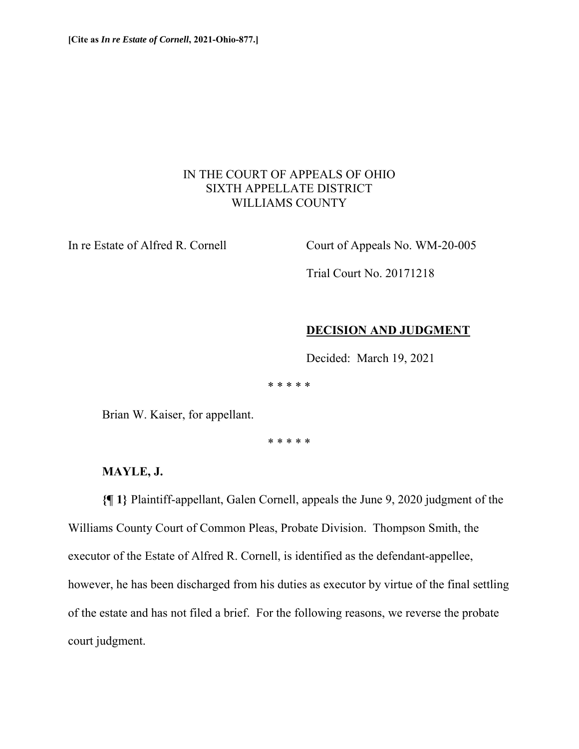# IN THE COURT OF APPEALS OF OHIO SIXTH APPELLATE DISTRICT WILLIAMS COUNTY

In re Estate of Alfred R. Cornell Court of Appeals No. WM-20-005

Trial Court No. 20171218

### **DECISION AND JUDGMENT**

Decided: March 19, 2021

\* \* \* \* \*

Brian W. Kaiser, for appellant.

\* \* \* \* \*

# **MAYLE, J.**

**{¶ 1}** Plaintiff-appellant, Galen Cornell, appeals the June 9, 2020 judgment of the Williams County Court of Common Pleas, Probate Division. Thompson Smith, the executor of the Estate of Alfred R. Cornell, is identified as the defendant-appellee, however, he has been discharged from his duties as executor by virtue of the final settling of the estate and has not filed a brief. For the following reasons, we reverse the probate court judgment.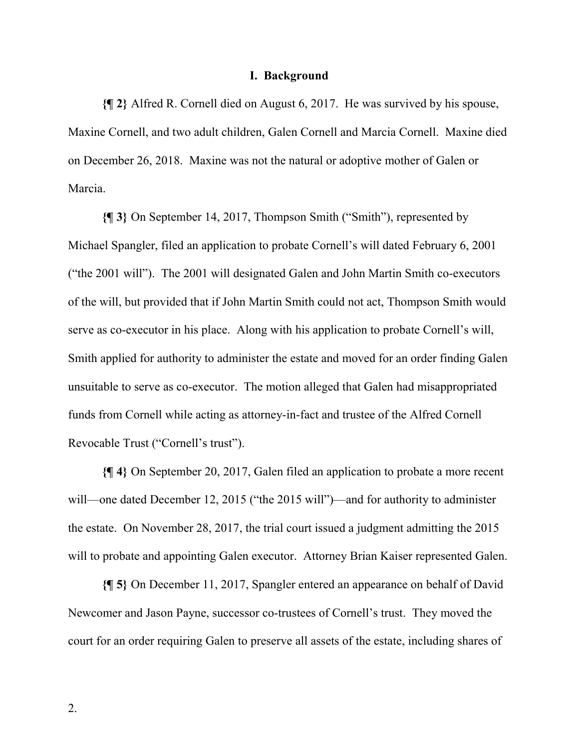#### **I. Background**

**{¶ 2}** Alfred R. Cornell died on August 6, 2017. He was survived by his spouse, Maxine Cornell, and two adult children, Galen Cornell and Marcia Cornell. Maxine died on December 26, 2018. Maxine was not the natural or adoptive mother of Galen or Marcia.

**{¶ 3}** On September 14, 2017, Thompson Smith ("Smith"), represented by Michael Spangler, filed an application to probate Cornell's will dated February 6, 2001 ("the 2001 will"). The 2001 will designated Galen and John Martin Smith co-executors of the will, but provided that if John Martin Smith could not act, Thompson Smith would serve as co-executor in his place. Along with his application to probate Cornell's will, Smith applied for authority to administer the estate and moved for an order finding Galen unsuitable to serve as co-executor. The motion alleged that Galen had misappropriated funds from Cornell while acting as attorney-in-fact and trustee of the Alfred Cornell Revocable Trust ("Cornell's trust").

**{¶ 4}** On September 20, 2017, Galen filed an application to probate a more recent will—one dated December 12, 2015 ("the 2015 will")—and for authority to administer the estate. On November 28, 2017, the trial court issued a judgment admitting the 2015 will to probate and appointing Galen executor. Attorney Brian Kaiser represented Galen.

**{¶ 5}** On December 11, 2017, Spangler entered an appearance on behalf of David Newcomer and Jason Payne, successor co-trustees of Cornell's trust. They moved the court for an order requiring Galen to preserve all assets of the estate, including shares of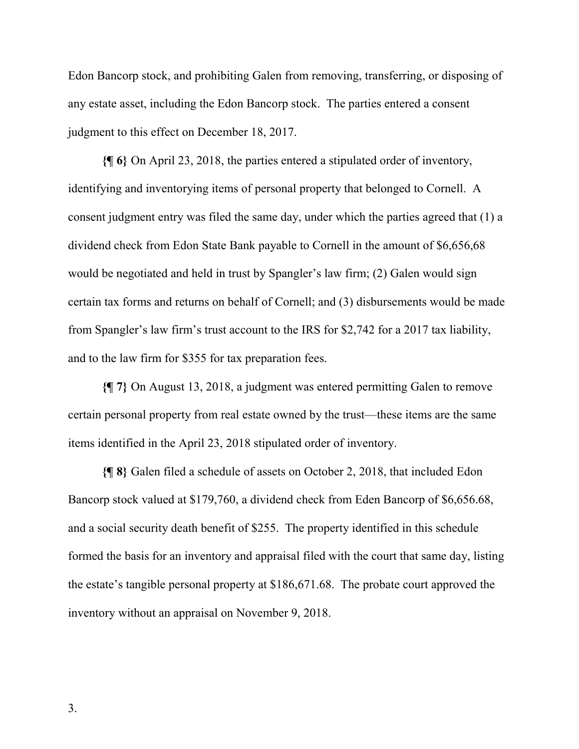Edon Bancorp stock, and prohibiting Galen from removing, transferring, or disposing of any estate asset, including the Edon Bancorp stock. The parties entered a consent judgment to this effect on December 18, 2017.

**{¶ 6}** On April 23, 2018, the parties entered a stipulated order of inventory, identifying and inventorying items of personal property that belonged to Cornell. A consent judgment entry was filed the same day, under which the parties agreed that (1) a dividend check from Edon State Bank payable to Cornell in the amount of \$6,656,68 would be negotiated and held in trust by Spangler's law firm; (2) Galen would sign certain tax forms and returns on behalf of Cornell; and (3) disbursements would be made from Spangler's law firm's trust account to the IRS for \$2,742 for a 2017 tax liability, and to the law firm for \$355 for tax preparation fees.

**{¶ 7}** On August 13, 2018, a judgment was entered permitting Galen to remove certain personal property from real estate owned by the trust—these items are the same items identified in the April 23, 2018 stipulated order of inventory.

**{¶ 8}** Galen filed a schedule of assets on October 2, 2018, that included Edon Bancorp stock valued at \$179,760, a dividend check from Eden Bancorp of \$6,656.68, and a social security death benefit of \$255. The property identified in this schedule formed the basis for an inventory and appraisal filed with the court that same day, listing the estate's tangible personal property at \$186,671.68. The probate court approved the inventory without an appraisal on November 9, 2018.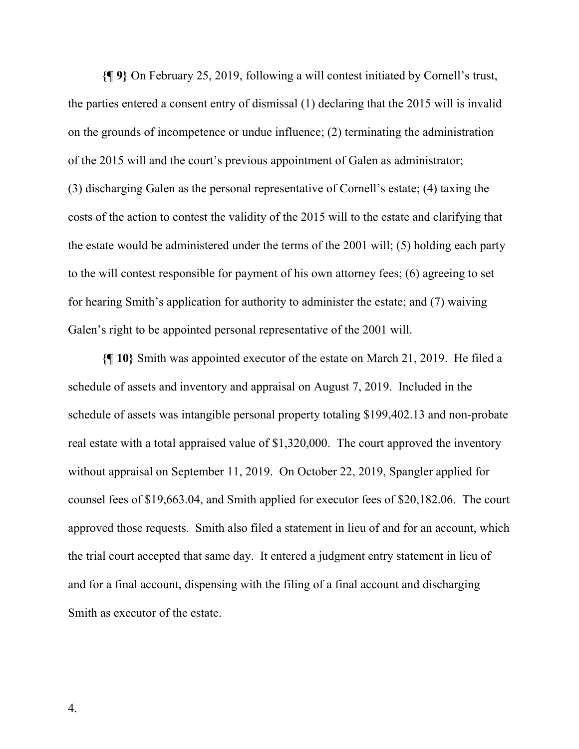**{¶ 9}** On February 25, 2019, following a will contest initiated by Cornell's trust, the parties entered a consent entry of dismissal (1) declaring that the 2015 will is invalid on the grounds of incompetence or undue influence; (2) terminating the administration of the 2015 will and the court's previous appointment of Galen as administrator; (3) discharging Galen as the personal representative of Cornell's estate; (4) taxing the costs of the action to contest the validity of the 2015 will to the estate and clarifying that the estate would be administered under the terms of the 2001 will; (5) holding each party to the will contest responsible for payment of his own attorney fees; (6) agreeing to set for hearing Smith's application for authority to administer the estate; and (7) waiving Galen's right to be appointed personal representative of the 2001 will.

**{¶ 10}** Smith was appointed executor of the estate on March 21, 2019. He filed a schedule of assets and inventory and appraisal on August 7, 2019. Included in the schedule of assets was intangible personal property totaling \$199,402.13 and non-probate real estate with a total appraised value of \$1,320,000. The court approved the inventory without appraisal on September 11, 2019. On October 22, 2019, Spangler applied for counsel fees of \$19,663.04, and Smith applied for executor fees of \$20,182.06. The court approved those requests. Smith also filed a statement in lieu of and for an account, which the trial court accepted that same day. It entered a judgment entry statement in lieu of and for a final account, dispensing with the filing of a final account and discharging Smith as executor of the estate.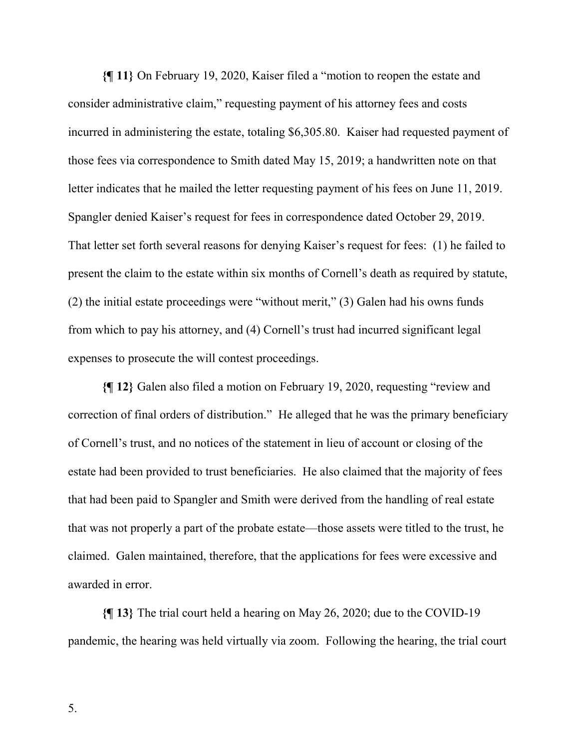**{¶ 11}** On February 19, 2020, Kaiser filed a "motion to reopen the estate and consider administrative claim," requesting payment of his attorney fees and costs incurred in administering the estate, totaling \$6,305.80. Kaiser had requested payment of those fees via correspondence to Smith dated May 15, 2019; a handwritten note on that letter indicates that he mailed the letter requesting payment of his fees on June 11, 2019. Spangler denied Kaiser's request for fees in correspondence dated October 29, 2019. That letter set forth several reasons for denying Kaiser's request for fees: (1) he failed to present the claim to the estate within six months of Cornell's death as required by statute, (2) the initial estate proceedings were "without merit," (3) Galen had his owns funds from which to pay his attorney, and (4) Cornell's trust had incurred significant legal expenses to prosecute the will contest proceedings.

**{¶ 12}** Galen also filed a motion on February 19, 2020, requesting "review and correction of final orders of distribution." He alleged that he was the primary beneficiary of Cornell's trust, and no notices of the statement in lieu of account or closing of the estate had been provided to trust beneficiaries. He also claimed that the majority of fees that had been paid to Spangler and Smith were derived from the handling of real estate that was not properly a part of the probate estate—those assets were titled to the trust, he claimed. Galen maintained, therefore, that the applications for fees were excessive and awarded in error.

**{¶ 13}** The trial court held a hearing on May 26, 2020; due to the COVID-19 pandemic, the hearing was held virtually via zoom. Following the hearing, the trial court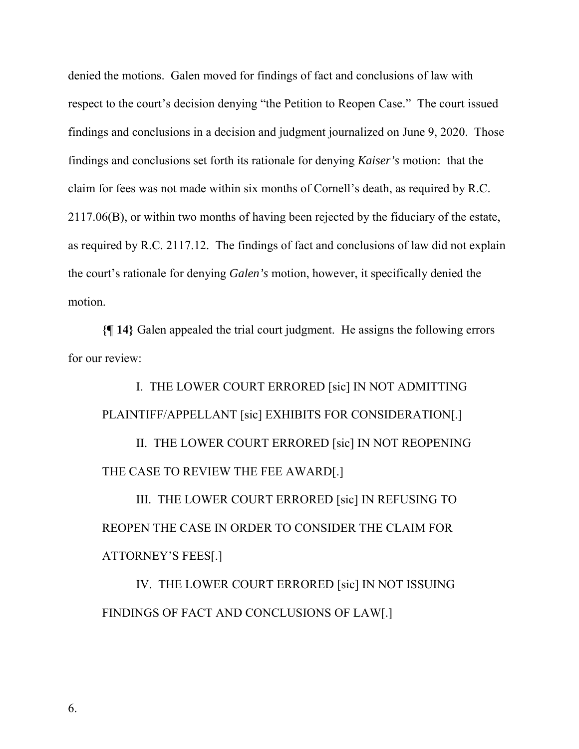denied the motions. Galen moved for findings of fact and conclusions of law with respect to the court's decision denying "the Petition to Reopen Case." The court issued findings and conclusions in a decision and judgment journalized on June 9, 2020. Those findings and conclusions set forth its rationale for denying *Kaiser's* motion: that the claim for fees was not made within six months of Cornell's death, as required by R.C. 2117.06(B), or within two months of having been rejected by the fiduciary of the estate, as required by R.C. 2117.12. The findings of fact and conclusions of law did not explain the court's rationale for denying *Galen's* motion, however, it specifically denied the motion.

**{¶ 14}** Galen appealed the trial court judgment. He assigns the following errors for our review:

I. THE LOWER COURT ERRORED [sic] IN NOT ADMITTING PLAINTIFF/APPELLANT [sic] EXHIBITS FOR CONSIDERATION[.]

II. THE LOWER COURT ERRORED [sic] IN NOT REOPENING THE CASE TO REVIEW THE FEE AWARD[.]

III. THE LOWER COURT ERRORED [sic] IN REFUSING TO REOPEN THE CASE IN ORDER TO CONSIDER THE CLAIM FOR ATTORNEY'S FEES[.]

IV. THE LOWER COURT ERRORED [sic] IN NOT ISSUING FINDINGS OF FACT AND CONCLUSIONS OF LAW[.]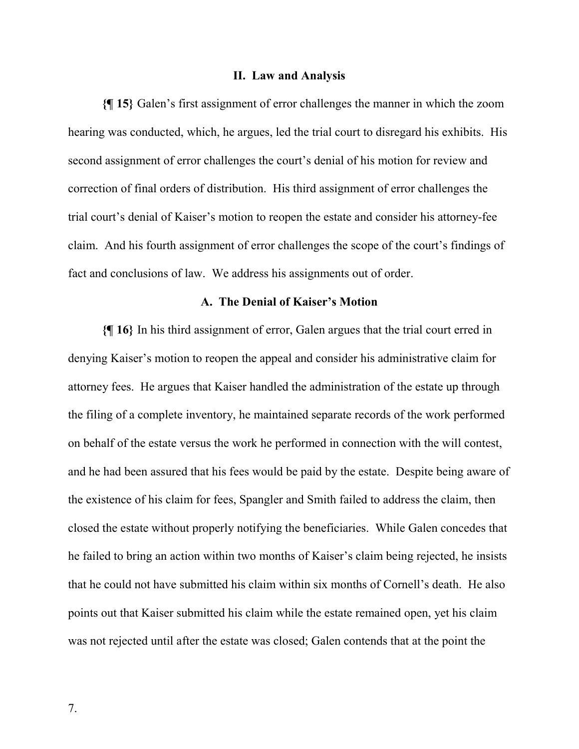#### **II. Law and Analysis**

**{¶ 15}** Galen's first assignment of error challenges the manner in which the zoom hearing was conducted, which, he argues, led the trial court to disregard his exhibits. His second assignment of error challenges the court's denial of his motion for review and correction of final orders of distribution. His third assignment of error challenges the trial court's denial of Kaiser's motion to reopen the estate and consider his attorney-fee claim. And his fourth assignment of error challenges the scope of the court's findings of fact and conclusions of law. We address his assignments out of order.

### **A. The Denial of Kaiser's Motion**

**{¶ 16}** In his third assignment of error, Galen argues that the trial court erred in denying Kaiser's motion to reopen the appeal and consider his administrative claim for attorney fees. He argues that Kaiser handled the administration of the estate up through the filing of a complete inventory, he maintained separate records of the work performed on behalf of the estate versus the work he performed in connection with the will contest, and he had been assured that his fees would be paid by the estate. Despite being aware of the existence of his claim for fees, Spangler and Smith failed to address the claim, then closed the estate without properly notifying the beneficiaries. While Galen concedes that he failed to bring an action within two months of Kaiser's claim being rejected, he insists that he could not have submitted his claim within six months of Cornell's death. He also points out that Kaiser submitted his claim while the estate remained open, yet his claim was not rejected until after the estate was closed; Galen contends that at the point the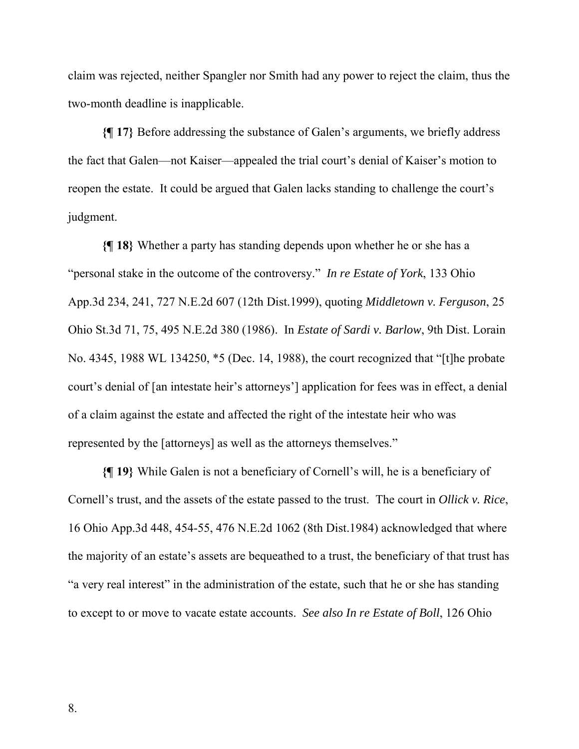claim was rejected, neither Spangler nor Smith had any power to reject the claim, thus the two-month deadline is inapplicable.

**{¶ 17}** Before addressing the substance of Galen's arguments, we briefly address the fact that Galen—not Kaiser—appealed the trial court's denial of Kaiser's motion to reopen the estate. It could be argued that Galen lacks standing to challenge the court's judgment.

**{¶ 18}** Whether a party has standing depends upon whether he or she has a "personal stake in the outcome of the controversy." *In re Estate of York*, 133 Ohio App.3d 234, 241, 727 N.E.2d 607 (12th Dist.1999), quoting *Middletown v. Ferguson*, 25 Ohio St.3d 71, 75, 495 N.E.2d 380 (1986). In *Estate of Sardi v. Barlow*, 9th Dist. Lorain No. 4345, 1988 WL 134250, \*5 (Dec. 14, 1988), the court recognized that "[t]he probate court's denial of [an intestate heir's attorneys'] application for fees was in effect, a denial of a claim against the estate and affected the right of the intestate heir who was represented by the [attorneys] as well as the attorneys themselves."

**{¶ 19}** While Galen is not a beneficiary of Cornell's will, he is a beneficiary of Cornell's trust, and the assets of the estate passed to the trust. The court in *Ollick v. Rice*, 16 Ohio App.3d 448, 454-55, 476 N.E.2d 1062 (8th Dist.1984) acknowledged that where the majority of an estate's assets are bequeathed to a trust, the beneficiary of that trust has "a very real interest" in the administration of the estate, such that he or she has standing to except to or move to vacate estate accounts. *See also In re Estate of Boll*, 126 Ohio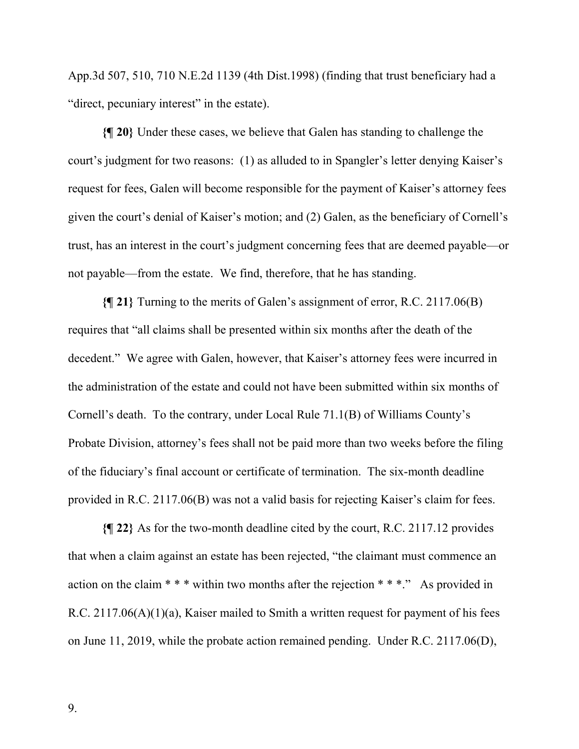App.3d 507, 510, 710 N.E.2d 1139 (4th Dist.1998) (finding that trust beneficiary had a "direct, pecuniary interest" in the estate).

**{¶ 20}** Under these cases, we believe that Galen has standing to challenge the court's judgment for two reasons: (1) as alluded to in Spangler's letter denying Kaiser's request for fees, Galen will become responsible for the payment of Kaiser's attorney fees given the court's denial of Kaiser's motion; and (2) Galen, as the beneficiary of Cornell's trust, has an interest in the court's judgment concerning fees that are deemed payable—or not payable—from the estate. We find, therefore, that he has standing.

**{¶ 21}** Turning to the merits of Galen's assignment of error, R.C. 2117.06(B) requires that "all claims shall be presented within six months after the death of the decedent." We agree with Galen, however, that Kaiser's attorney fees were incurred in the administration of the estate and could not have been submitted within six months of Cornell's death. To the contrary, under Local Rule 71.1(B) of Williams County's Probate Division, attorney's fees shall not be paid more than two weeks before the filing of the fiduciary's final account or certificate of termination. The six-month deadline provided in R.C. 2117.06(B) was not a valid basis for rejecting Kaiser's claim for fees.

**{¶ 22}** As for the two-month deadline cited by the court, R.C. 2117.12 provides that when a claim against an estate has been rejected, "the claimant must commence an action on the claim \* \* \* within two months after the rejection \* \* \*." As provided in R.C. 2117.06(A)(1)(a), Kaiser mailed to Smith a written request for payment of his fees on June 11, 2019, while the probate action remained pending. Under R.C. 2117.06(D),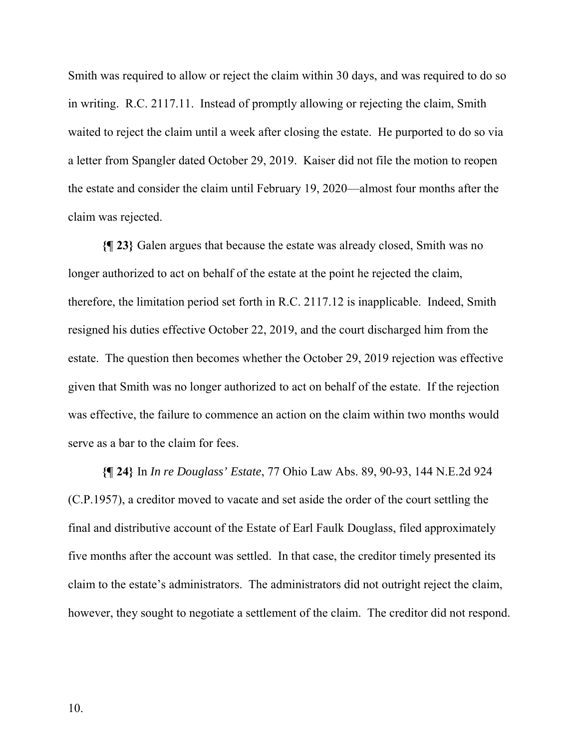Smith was required to allow or reject the claim within 30 days, and was required to do so in writing. R.C. 2117.11. Instead of promptly allowing or rejecting the claim, Smith waited to reject the claim until a week after closing the estate. He purported to do so via a letter from Spangler dated October 29, 2019. Kaiser did not file the motion to reopen the estate and consider the claim until February 19, 2020—almost four months after the claim was rejected.

**{¶ 23}** Galen argues that because the estate was already closed, Smith was no longer authorized to act on behalf of the estate at the point he rejected the claim, therefore, the limitation period set forth in R.C. 2117.12 is inapplicable. Indeed, Smith resigned his duties effective October 22, 2019, and the court discharged him from the estate. The question then becomes whether the October 29, 2019 rejection was effective given that Smith was no longer authorized to act on behalf of the estate. If the rejection was effective, the failure to commence an action on the claim within two months would serve as a bar to the claim for fees.

**{¶ 24}** In *In re Douglass' Estate*, 77 Ohio Law Abs. 89, 90-93, 144 N.E.2d 924 (C.P.1957), a creditor moved to vacate and set aside the order of the court settling the final and distributive account of the Estate of Earl Faulk Douglass, filed approximately five months after the account was settled. In that case, the creditor timely presented its claim to the estate's administrators. The administrators did not outright reject the claim, however, they sought to negotiate a settlement of the claim. The creditor did not respond.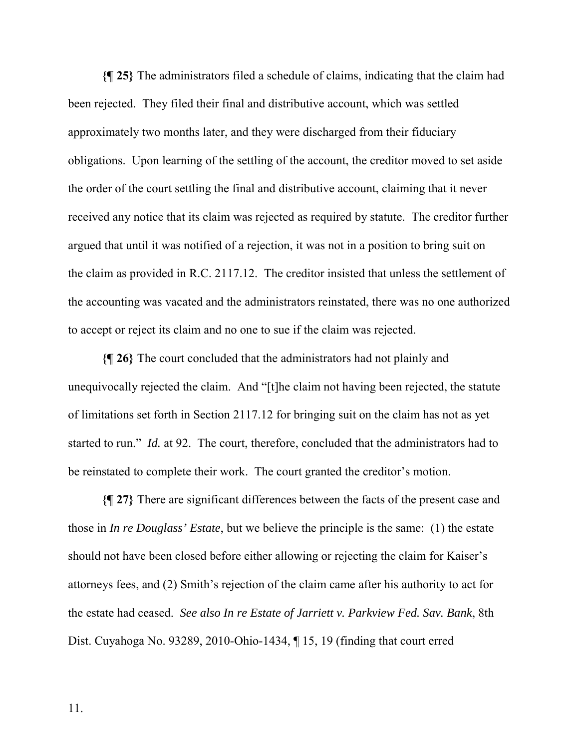**{¶ 25}** The administrators filed a schedule of claims, indicating that the claim had been rejected. They filed their final and distributive account, which was settled approximately two months later, and they were discharged from their fiduciary obligations. Upon learning of the settling of the account, the creditor moved to set aside the order of the court settling the final and distributive account, claiming that it never received any notice that its claim was rejected as required by statute. The creditor further argued that until it was notified of a rejection, it was not in a position to bring suit on the claim as provided in R.C. 2117.12. The creditor insisted that unless the settlement of the accounting was vacated and the administrators reinstated, there was no one authorized to accept or reject its claim and no one to sue if the claim was rejected.

**{¶ 26}** The court concluded that the administrators had not plainly and unequivocally rejected the claim. And "[t]he claim not having been rejected, the statute of limitations set forth in Section 2117.12 for bringing suit on the claim has not as yet started to run." *Id.* at 92. The court, therefore, concluded that the administrators had to be reinstated to complete their work. The court granted the creditor's motion.

**{¶ 27}** There are significant differences between the facts of the present case and those in *In re Douglass' Estate*, but we believe the principle is the same: (1) the estate should not have been closed before either allowing or rejecting the claim for Kaiser's attorneys fees, and (2) Smith's rejection of the claim came after his authority to act for the estate had ceased. *See also In re Estate of Jarriett v. Parkview Fed. Sav. Bank*, 8th Dist. Cuyahoga No. 93289, 2010-Ohio-1434, ¶ 15, 19 (finding that court erred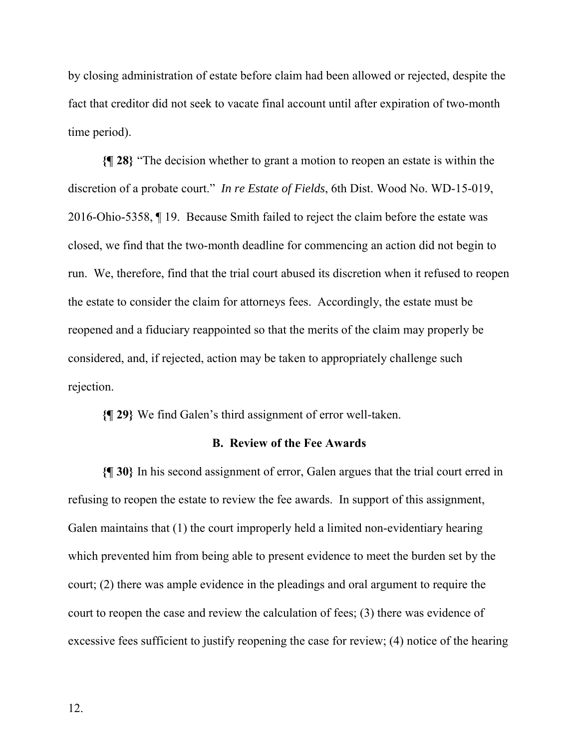by closing administration of estate before claim had been allowed or rejected, despite the fact that creditor did not seek to vacate final account until after expiration of two-month time period).

**{¶ 28}** "The decision whether to grant a motion to reopen an estate is within the discretion of a probate court." *In re Estate of Fields*, 6th Dist. Wood No. WD-15-019, 2016-Ohio-5358, ¶ 19. Because Smith failed to reject the claim before the estate was closed, we find that the two-month deadline for commencing an action did not begin to run. We, therefore, find that the trial court abused its discretion when it refused to reopen the estate to consider the claim for attorneys fees. Accordingly, the estate must be reopened and a fiduciary reappointed so that the merits of the claim may properly be considered, and, if rejected, action may be taken to appropriately challenge such rejection.

**{¶ 29}** We find Galen's third assignment of error well-taken.

## **B. Review of the Fee Awards**

**{¶ 30}** In his second assignment of error, Galen argues that the trial court erred in refusing to reopen the estate to review the fee awards. In support of this assignment, Galen maintains that (1) the court improperly held a limited non-evidentiary hearing which prevented him from being able to present evidence to meet the burden set by the court; (2) there was ample evidence in the pleadings and oral argument to require the court to reopen the case and review the calculation of fees; (3) there was evidence of excessive fees sufficient to justify reopening the case for review; (4) notice of the hearing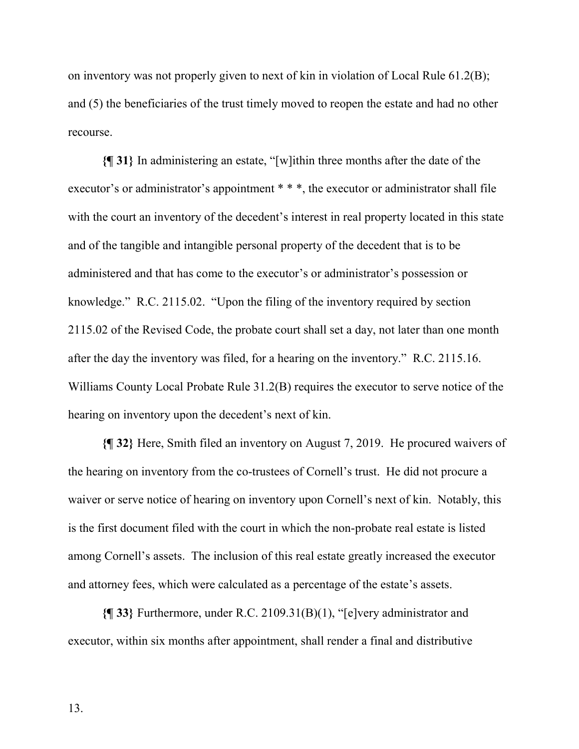on inventory was not properly given to next of kin in violation of Local Rule 61.2(B); and (5) the beneficiaries of the trust timely moved to reopen the estate and had no other recourse.

**{¶ 31}** In administering an estate, "[w]ithin three months after the date of the executor's or administrator's appointment \*\*\*, the executor or administrator shall file with the court an inventory of the decedent's interest in real property located in this state and of the tangible and intangible personal property of the decedent that is to be administered and that has come to the executor's or administrator's possession or knowledge." R.C. 2115.02. "Upon the filing of the inventory required by section 2115.02 of the Revised Code, the probate court shall set a day, not later than one month after the day the inventory was filed, for a hearing on the inventory." R.C. 2115.16. Williams County Local Probate Rule 31.2(B) requires the executor to serve notice of the hearing on inventory upon the decedent's next of kin.

**{¶ 32}** Here, Smith filed an inventory on August 7, 2019. He procured waivers of the hearing on inventory from the co-trustees of Cornell's trust. He did not procure a waiver or serve notice of hearing on inventory upon Cornell's next of kin. Notably, this is the first document filed with the court in which the non-probate real estate is listed among Cornell's assets. The inclusion of this real estate greatly increased the executor and attorney fees, which were calculated as a percentage of the estate's assets.

**{¶ 33}** Furthermore, under R.C. 2109.31(B)(1), "[e]very administrator and executor, within six months after appointment, shall render a final and distributive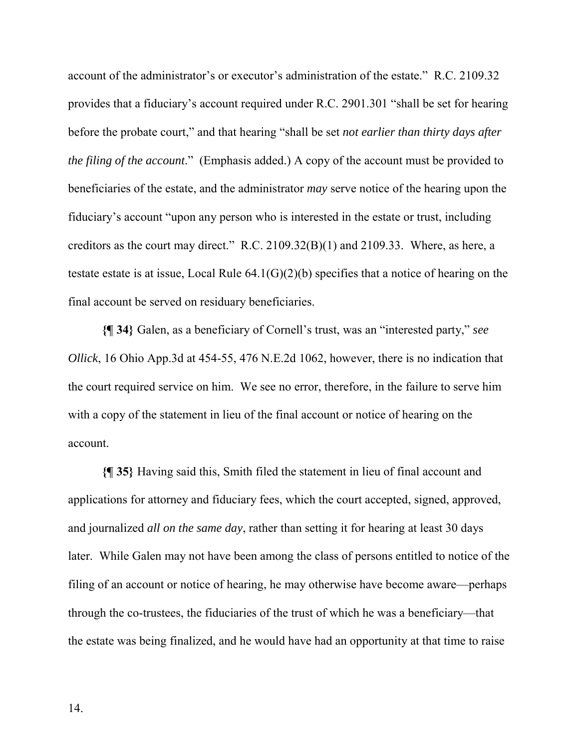account of the administrator's or executor's administration of the estate." R.C. 2109.32 provides that a fiduciary's account required under R.C. 2901.301 "shall be set for hearing before the probate court," and that hearing "shall be set *not earlier than thirty days after the filing of the account*." (Emphasis added.) A copy of the account must be provided to beneficiaries of the estate, and the administrator *may* serve notice of the hearing upon the fiduciary's account "upon any person who is interested in the estate or trust, including creditors as the court may direct." R.C. 2109.32(B)(1) and 2109.33. Where, as here, a testate estate is at issue, Local Rule 64.1(G)(2)(b) specifies that a notice of hearing on the final account be served on residuary beneficiaries.

**{¶ 34}** Galen, as a beneficiary of Cornell's trust, was an "interested party," *see Ollick*, 16 Ohio App.3d at 454-55, 476 N.E.2d 1062, however, there is no indication that the court required service on him. We see no error, therefore, in the failure to serve him with a copy of the statement in lieu of the final account or notice of hearing on the account.

**{¶ 35}** Having said this, Smith filed the statement in lieu of final account and applications for attorney and fiduciary fees, which the court accepted, signed, approved, and journalized *all on the same day*, rather than setting it for hearing at least 30 days later. While Galen may not have been among the class of persons entitled to notice of the filing of an account or notice of hearing, he may otherwise have become aware—perhaps through the co-trustees, the fiduciaries of the trust of which he was a beneficiary—that the estate was being finalized, and he would have had an opportunity at that time to raise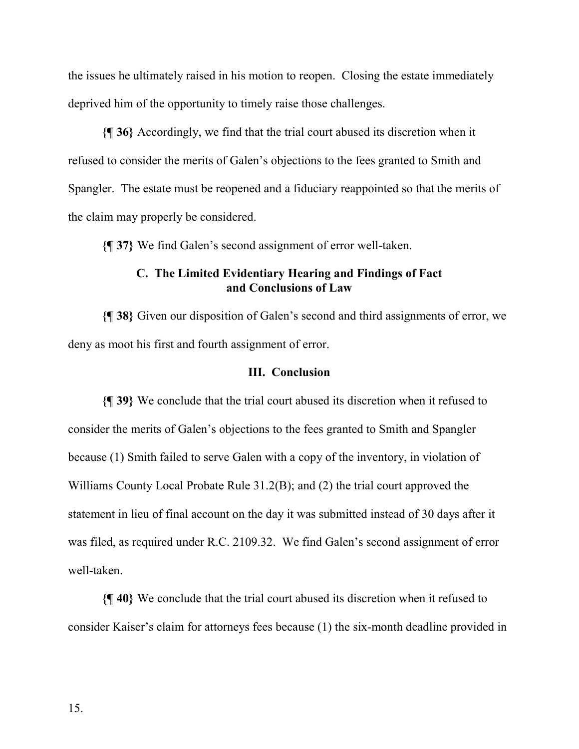the issues he ultimately raised in his motion to reopen. Closing the estate immediately deprived him of the opportunity to timely raise those challenges.

**{¶ 36}** Accordingly, we find that the trial court abused its discretion when it refused to consider the merits of Galen's objections to the fees granted to Smith and Spangler. The estate must be reopened and a fiduciary reappointed so that the merits of the claim may properly be considered.

**{¶ 37}** We find Galen's second assignment of error well-taken.

# **C. The Limited Evidentiary Hearing and Findings of Fact and Conclusions of Law**

**{¶ 38}** Given our disposition of Galen's second and third assignments of error, we deny as moot his first and fourth assignment of error.

### **III. Conclusion**

**{¶ 39}** We conclude that the trial court abused its discretion when it refused to consider the merits of Galen's objections to the fees granted to Smith and Spangler because (1) Smith failed to serve Galen with a copy of the inventory, in violation of Williams County Local Probate Rule 31.2(B); and (2) the trial court approved the statement in lieu of final account on the day it was submitted instead of 30 days after it was filed, as required under R.C. 2109.32. We find Galen's second assignment of error well-taken.

**{¶ 40}** We conclude that the trial court abused its discretion when it refused to consider Kaiser's claim for attorneys fees because (1) the six-month deadline provided in